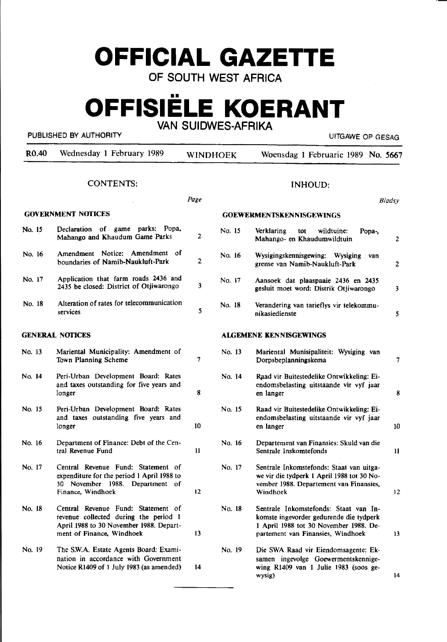# **OFFICIAL GAZETTE**

OF SOUTH WEST AFRICA

### $\blacksquare$ **OFFISIELE KOERANT**  VAN SUIDWES-AFRIKA

#### PUBLISHED BY AUTHORITY **EXECUTE A SECOND TEST OF AUTHORITY** UITGAWE OP GESAG

| R <sub>0.40</sub> | Wednesday 1 February 1989                                                                                                                           |               | WINDHOEK | Woensdag 1 Februarie 1989 No. 5667                                                                                                                              |              |
|-------------------|-----------------------------------------------------------------------------------------------------------------------------------------------------|---------------|----------|-----------------------------------------------------------------------------------------------------------------------------------------------------------------|--------------|
|                   | <b>CONTENTS:</b>                                                                                                                                    |               |          | <b>INHOUD:</b>                                                                                                                                                  |              |
|                   |                                                                                                                                                     | Page          |          | <b>Bladsy</b>                                                                                                                                                   |              |
|                   | <b>GOVERNMENT NOTICES</b>                                                                                                                           |               |          | <b>GOEWERMENTSKENNISGEWINGS</b>                                                                                                                                 |              |
| No. 15            | Declaration of game parks: Popa,<br>Mahango and Khaudum Game Parks                                                                                  | 2             | No. 15   | Verklaring<br>wildtuine:<br>tot<br>Popa-,<br>Mahango- en Khaudumwildtuin                                                                                        | $\mathbf{2}$ |
| No. 16            | Amendment Notice: Amendment of<br>boundaries of Namib-Naukluft-Park                                                                                 | 2             | No. 16   | Wysigingskennisgewing: Wysiging<br>van<br>grense van Namib-Naukluft-Park                                                                                        | $\mathbf{2}$ |
| No. 17            | Application that farm roads 2436 and<br>2435 be closed: District of Otjiwarongo                                                                     | 3             | No. 17   | Aansoek dat plaaspaaie 2436 en 2435<br>gesluit moet word: Distrik Otjiwarongo                                                                                   | 3            |
| No. 18            | Alteration of rates for telecommunication<br>services                                                                                               | 5             | No. 18   | Verandering van tarieflys vir telekommu-<br>nikasiedienste                                                                                                      | 5            |
|                   | <b>GENERAL NOTICES</b>                                                                                                                              |               |          | <b>ALGEMENE KENNISGEWINGS</b>                                                                                                                                   |              |
| No. 13            | Mariental Municipality: Amendment of<br>Town Planning Scheme                                                                                        | 7             | No. 13   | Mariental Munisipaliteit: Wysiging van<br>Dorpsbeplanningskema                                                                                                  | 7            |
| No. 14            | Peri-Urban Development Board: Rates<br>and taxes outstanding for five years and<br>longer                                                           | 8             | No. 14   | Raad vir Buitestedelike Ontwikkeling: Ei-<br>endomsbelasting uitstaande vir vyf jaar<br>en langer                                                               | 8            |
| No. 15            | Peri-Urban Development Board: Rates<br>and taxes outstanding five years and<br>longer                                                               | 10            | No. 15   | Raad vir Buitestedelike Ontwikkeling: Ei-<br>endomsbelasting uitstaande vir vyf jaar<br>en langer                                                               | 10           |
| No. 16            | Department of Finance: Debt of the Cen-<br>tral Revenue Fund                                                                                        | $\mathbf{11}$ | No. 16   | Departement van Finansies: Skuld van die<br>Sentrale Inskomtefonds                                                                                              | 11           |
| No. 17            | Central Revenue Fund: Statement of<br>expenditure for the period 1 April 1988 to<br>30 November 1988.<br>Department of<br>Finance, Windhoek         | 12            | No. 17   | Sentrale Inkomstefonds: Staat van uitga-<br>we vir die tydperk 1 April 1988 tot 30 No-<br>vember 1988. Departement van Finansies,<br>Windhoek                   | 12           |
| No. 18            | Central Revenue Fund: Statement of<br>revenue collected during the period 1<br>April 1988 to 30 November 1988. Depart-<br>ment of Finance, Windhoek | 13            | No. 18   | Sentrale Inkomstefonds: Staat van In-<br>komste ingevorder gedurende die tydperk<br>1 April 1988 tot 30 November 1988. De-<br>partement van Finansies, Windhoek | 13           |
| No. 19            | The S.W.A. Estate Agents Board: Exami-<br>nation in accordance with Government<br>Notice R1409 of 1 July 1983 (as amended)                          | 14            | No. 19   | Die SWA Raad vir Eiendomsagente: Ek-<br>samen ingevolge Goewermentskennige-<br>wing R1409 van 1 Julie 1983 (soos ge-<br>wysig)                                  | 14           |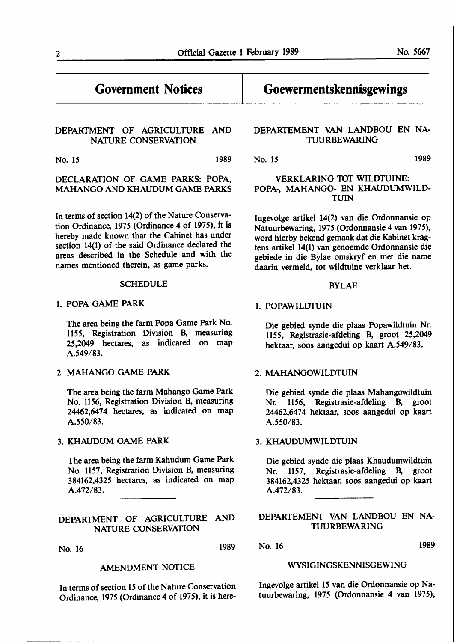### **Government Notices**

### DEPARTMENT OF AGRICULTURE AND NATURE CONSERVATION

No. 15 1989

#### **DECLARATION** OF GAME **PARKS: POPA, MAHANGO AND KHAUDUM** GAME **PARKS**

In terms of section 14(2) of the Nature Conservation Ordinance, 1975 (Ordinance 4 of 1975), it is hereby made known that the Cabinet has under section 14(1) of the said Ordinance declared the areas described in the Schedule and with the names mentioned therein, as game parks.

#### **SCHEDULE**

#### 1. **POPA** GAME PARK

The area being the farm Popa Game Park No. 1155, Registration Division B, measuring 25,2049 hectares, as indicated on map A.549/83.

#### 2. MAHANGO GAME PARK

The area being the farm Mahango Game Park No. 1156, Registration Division B, measuring 24462,6474 hectares, as indicated on map A.550/83.

#### 3. KHAUDUM GAME PARK

The area being the farm Kahudum Game Park No. 1157, Registration Division B, measuring 384162,4325 hectares, as indicated on map A.472/83.

### DEPARTMENT OF AGRICULTURE AND NATURE CONSERVATION

No. 16 1989

#### AMENDMENT NOTICE

In terms of section 15 of the Nature Conservation Ordinance, 1975 (Ordinance 4 of 1975), it is here-

# **Goewermentskennisgewings**

#### DEPARTEMENT VAN LANDBOU EN NA-TUURBEWARING

No. 15 **1989** 

#### VERKLARING TOT WILDTUINE: POPA-, MAHANGO- EN KHAUDUMWILD-TUIN

lngevolge artikel 14(2) van die Ordonnansie op Natuurbewaring, 1975 (Ordonnansie 4 van 1975), word hierby bekend gemaak dat die Kabinet kragtens artikel 14(1) van genoemde Ordonnansie die gebiede in die Bylae omskryf en met die name daarin vermeld, tot wildtuine verklaar bet.

#### BYLAE

#### 1. POPAWILDTUIN

Die gebied synde die plaas Popawildtuin Nr. 1155, Registrasie-afdeling B, groot 25,2049 hektaar, soos aangedui op kaart A.549/83.

#### 2. MAHANGOWILDTUIN

Die gebied synde die plaas Mahangowildtuin Nr. 1156, Registrasie-afdeling B, groot 24462,6474 hektaar, soos aangedui op kaart A.550/83.

#### 3. KHAUDUMWILDTUIN

Die gebied synde die plaas Khaudumwildtuin Nr. 1157, Registrasie-afdeling B, groot 384162,4325 hektaar, soos aangedui op kaart A.472/83.

#### DEPARTEMENT VAN LANDBOU EN NA-TUURBEWARING

No. 16 1989

#### WYSIGINGSKENNISGEWING

Ingevolge artikel 15 van die Ordonnansie op Natuurbewaring, 1975 (Ordonnansie 4 van 1975),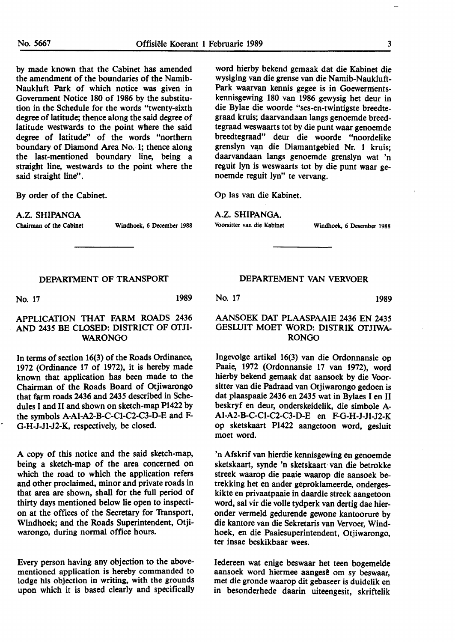by made known that the Cabinet has amended the amendment of the boundaries of the Namib-Naukluft Park of which notice was given in Government Notice 180 of 1986 by the substitution in the Schedule for the words "twenty-sixth degree of latitude; thence along the said degree of latitude westwards to the point where the said degree of latitude" of the words "northern boundary of Diamond Area No. 1; thence along the last-mentioned boundary line, being a straight line, westwards to the point where the said straight line''.

By order of the Cabinet.

A.Z. **SHIPANGA** 

Chairman of **the Cabinet** Windhoek, **6 December** 1988

word hierby bekend gemaak dat die Kabinet die wysiging van die grense van die Namib-Naukluft-Park waarvan kennis gegee is in Goewermentskennisgewing 180 van 1986 gewysig bet deur in die Bylae die woorde "ses-en-twintigste breedtegraad kruis; daarvandaan langs genoemde breedtegraad weswaarts tot by die punt waar genoemde breedtegraad" deur die woorde "noordelike grenslyn van die Diamantgebied Nr. 1 kruis: daarvandaan langs genoemde grenslyn wat 'n reguit lyn is weswaarts tot by die punt waar genoemde reguit lyn" te vervang.

Op las van die Kabinet.

A.Z. **SHIPANGA.** 

Voorsitter van **die Kabinet** Windhoek, 6 Desember 1988

#### DEPARTMENT OF TRANSPORT

No. 17 1989

#### APPLICATION THAT FARM ROADS 2436 AND 2435 BE CLOSED: DISTRICT OF OTJI-WARONGO

In terms of section 16(3) of the Roads Ordinance, 1972 (Ordinance 17 of 1972), it is hereby made known that application has been **made to** the Chairman **of the** Roads Board of **Otjiwarongo**  that farm **roads 2436** and 2435 described in Schedules I **and** II and shown on sketch-map **Pl422** by the symbols A-Al-A2-B-C-Cl-C2-C3-D-E and F-G-H-J-Jl-J2-K, respectively, be closed.

A copy of this notice and the said sketch-map, being a sketch-map of the area concerned on which the road to which the application refers and other proclaimed, minor and private roads in that area are shown, shall for the full period of thirty days mentioned below lie open to inspection at the offices of the Secretary for Transport, Windhoek; and the Roads Superintendent, Otjiwarongo, during normal office hours.

Every person having any objection to the abovementioned application is hereby commanded to lodge his objection in writing, with the grounds upon which it is based clearly and specifically

#### DEPARTEMENT VAN VERVOER

No. 17 1989

#### AANSOEK DAT PLAASPAAIE 2436 EN 2435 GESLUIT MOET WORD: DISTRIK OTJIWA-RONGO

Ingevolge artikel 16(3) van die Ordonnansie op Paaie, 1972 (Ordonnansie 17 van 1972), word hierby bekend gemaak dat aansoek by die Voorsitter van die Padraad van Otjiwarongo gedoen is dat plaaspaaie 2436 en 2435 wat in Bylaes I en II beskryf en deur, onderskeidelik, die simbole A-Al-A2-B-C-Cl-C2-C3-D-E en F-G-H-J-Jl-J2-K op sketskaart P1422 aangetoon word, gesluit moet word.

'n Afskrif van hierdie kennisgewing en genoemde sketskaart, synde 'n sketskaart, van die betrokke streek waarop die paaie waarop die aansoek betrekking bet en ander geproklameerde, onderges**kikte** en privaatpaaie **in daardie** streek aangetoon **word,** sal vir die volle **tydperk** van dertig dae **hieronder** vermeld gedurende gewone kantoorure by die kantore van die Sekretaris van Vervoer, Windhoek, en die Paaiesuperintendent, Otjiwarongo, ter insae beskikbaar wees.

Iedereen wat enige beswaar bet teen bogemelde aansoek word hiermee aangesê om sy beswaar. met die gronde waarop dit gebaseer is duidelik en in besonderhede daarin uiteengesit, skriftelik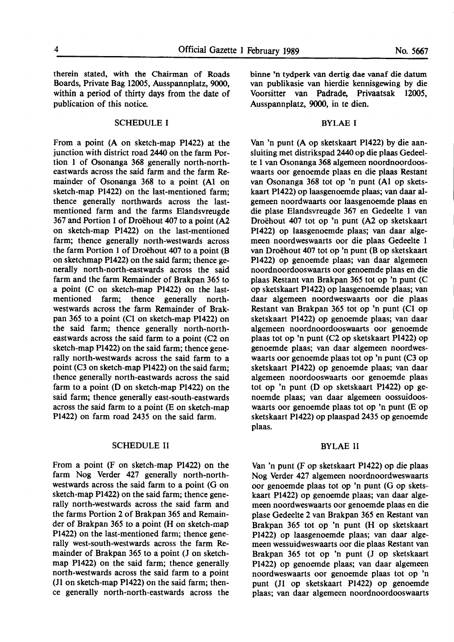therein stated, with the Chairman of Roads Boards, Private **Bag 12005,** Ausspannplatz, 9000, within a period of thirty days from the date of publication of this notice.

#### SCHEDULE I

From a point (A on sketch-map P1422) at the junction with district road 2440 on the farm Portion 1 of Osonanga 368 generally north-northeastwards across the said farm and the farm Remainder of Osonanga 368 to a point (Al on sketch-map P1422) on the last-mentioned farm; thence generally northwards across the lastmentioned farm and the farms Elandsvreugde 367 and Portion 1 of Droehout 407 to a point (A2 on sketch-map P1422) on the last-mentioned farm; thence generally north-westwards across the farm Portion 1 of Droehout 407 to a point (B on sketchmap Pl422) on the said farm; thence generally north-north-eastwards across the said farm and the farm Remainder of Brakpan 365 to a point (C on sketch-map P1422) on the lastmentioned farm; thence generally northwestwards across the farm Remainder of Brakpan 365 to a point (Cl on sketch-map P1422) on the said farm; thence generally north-northeastwards across the said farm to a point (C2 on sketch-map P1422) on the said farm; thence generally north-westwards across the said farm to a point (C3 on sketch-map P1422) on the said farm; thence generally north-eastwards across the said farm to a point (D on sketch-map Pl422) on the said farm; thence generally east-south-eastwards across the said farm to a point (E on sketch-map P1422) on farm road 2435 on the said farm.

#### SCHEDULE II

From a point (F on sketch-map Pl422) on the farm Nog Verder 427 generally north-northwestwards across the said farm to a point (G on sketch-map P1422) on the said farm; thence generally north-westwards across the said farm and the farms Portion 2 of Brakpan 365 and Remainder of Brakpan 365 to a point (H on sketch-map P1422) on the last-mentioned farm; thence generally west-south-westwards across the farm Remainder of Brakpan 365 to a point (J on sketchmap P1422) on the said farm; thence generally north-westwards across the said farm to a point (JI on sketch-map P1422) on the said farm; thence generally north-north-eastwards across the

binne 'n tydperk van dertig dae vanaf die datum van publikasie van hierdie kennisgewing by die Voorsitter van Padrade, Privaatsak 12005, Ausspannplatz, 9000, in te dien.

#### BYLAE I

Van 'n punt (A op sketskaart P1422) by die aansluiting met distrikspad 2440 op die plaas Gedeelte 1 van Osonanga 368 algemeen noordnoordooswaarts oor genoemde plaas en die plaas Restant van Osonanga 368 tot op 'n punt (Al op sketskaart Pl422) op laasgenoemde plaas; van daar algemeen noordwaarts oor laasgenoemde plaas en die plase Elandsvreugde 367 en Gedeelte 1 van Droëhout 407 tot op 'n punt (A2 op sketskaart Pl422) op laasgenoemde plaas; van daar algemeen noordweswaarts oor die plaas Gedeelte 1 van Droehout 407 tot op 'n punt (B op sketskaart P1422) op genoemde plaas; van daar algemeen noordnoordooswaarts oor genoemde plaas en die plaas Restant van Brakpan 365 tot op 'n punt (C op sketskaart P1422) op laasgenoemde plaas; van daar algemeen noordweswaarts oor die plaas Restant van Brakpan 365 tot op 'n punt (Cl op sketskaart Pl422) op genoemde plaas; van daar algemeen noordnoordooswaarts oor genoemde plaas tot op 'n punt (C2 op sketskaart Pl422) op genoemde plaas; van daar algemeen noordweswaarts oor genoemde plaas tot op 'n punt (C3 op sketskaart P1422) op genoemde plaas; van daar algemeen noordooswaarts oor genoemde plaas tot op 'n punt (D op sketskaart P1422) op genoemde plaas; van daar algemeen oossuidooswaarts oor genoemde plaas tot op 'n punt (E op sketskaart P1422) op plaaspad 2435 op genoemde plaas.

#### **BYLAE** II

Van 'n punt (F op sketskaart P1422) op die plaas Nog Verder 427 algemeen noordnoordweswaarts oor genoemde plaas tot op 'n punt (G op sketskaart P1422) op genoemde plaas; van daar algemeen noordweswaarts oor genoemde plaas en die plase Gedeelte 2 van Brakpan 365 en Restant van Brakpan 365 tot op 'n punt (H op sketskaart P1422) op laasgenoemde plaas; van daar algemeen wessuidweswaarts oor die plaas Restant van Brakpan 365 tot op 'n punt (J op sketskaart Pl422) op genoemde plaas; van daar algemeen noordweswaarts oor genoemde plaas tot op 'n punt (JI op sketskaart P1422) op genoemde plaas; van daar algemeen noordnoordooswaarts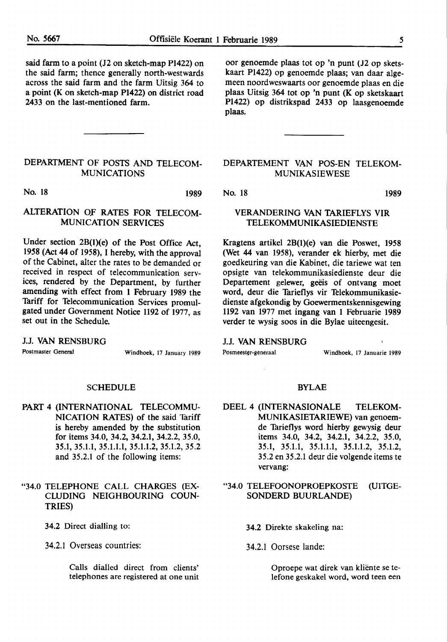said farm to a point (J2 on sketch-map Pl422) on the said farm; thence generally north-westwards across the said farm and the farm Uitsig 364 to a point (K on sketch-map  $P1422$ ) on district road 2433 on the last-mentioned farm.

#### DEPARTMENT OF POSTS AND TELECOM-MUNICATIONS

No. 18 1989

#### ALTERATION OF RATES FOR TELECOM-MUNICATION SERVICES

Under section  $2B(1)(e)$  of the Post Office Act, 1958 (Act 44 of 1958), I hereby, with the approval of the Cabinet, alter the rates to be demanded or received in respect of telecommunication services, rendered by the Department, by further amending with effect from 1 February 1989 the Tariff for Telecommunication Services promulgated under Government Notice 1192 of 1977, as set out in the Schedule.

J.J. VAN RENSBURG

Postmaster General Windhoek, 17 January 1989

#### SCHEDULE

PART 4 (INTERNATIONAL TELECOMMU-NICATION RATES) of the said Tariff is hereby amended by the substitution for items 34.0, 34.2, 34.2.1, 34.2.2, 35.0, 35.1, 35.1.1, 35.1.1.1, 35.1.1.2, 35.1.2, 35.2 and 35.2.1 of the following items:

#### "34.0 TELEPHONE CALL CHARGES (EX-CWDING NEIGHBOURING COUN-TRIES)

34.2 Direct dialling to:

34.2.1 Overseas countries:

Calls dialled direct from clients' telephones are registered at one unit

oor genoemde plaas tot op 'n punt (J2 op sketskaart Pl422) op genoemde plaas; van daar algemeen noordweswaarts oor genoemde plaas en die plaas Uitsig 364 tot op 'n punt (K op sketskaart Pl422) op distrikspad 2433 op laasgenoemde plaas.

#### DEPARTEMENT VAN POS-EN TELEKOM-MUNIKASIEWESE

No. 18 1989

#### VERANDERING VAN TARIEFLYS VIR TELEKOMMUNIKASIEDIENSTE

Kragtens artikel 2B(l)(e) van die Poswet, 1958 (Wet 44 van 1958), verander ek hierby, met die goedkeuring van die Kabinet, die tariewe wat ten opsigte van telekommunikasiedienste deur die Departement gelewer, geëis of ontvang moet word, deur die Tarieflys vir Telekommunikasiedienste afgekondig by Goewermentskennisgewing 1192 van 1977 met ingang van 1 Februarie 1989 verder te wysig soos in die Bylae uiteengesit.

J.J. VAN RENSBURG

Posmeester-generaal **Windhoek**, 17 Januarie 1989

#### BYLAE

DEEL 4 (INTERNASIONALE TELEKOM-MUNIK.ASIETARIEWE) van genoemde Tarieflys word hierby gewysig deur items 34.0, 34.2, 34.2.1, 34.2.2, 35.0, 35.1, 35.1.1, 35.1.1.1, 35.1.1.2, 35.1.2, 35.2 en 35.2.1 deur die volgende items te vervang:

"34.0 TELEFOONOPROEPKOSTE (UITGE-SONDERD BUURLANDE)

- 34.2 Direkte skakeling na:
- 34.2.1 Oorsese lande:

Oproepe wat direk van kliente se telefone geskakel word, word teen een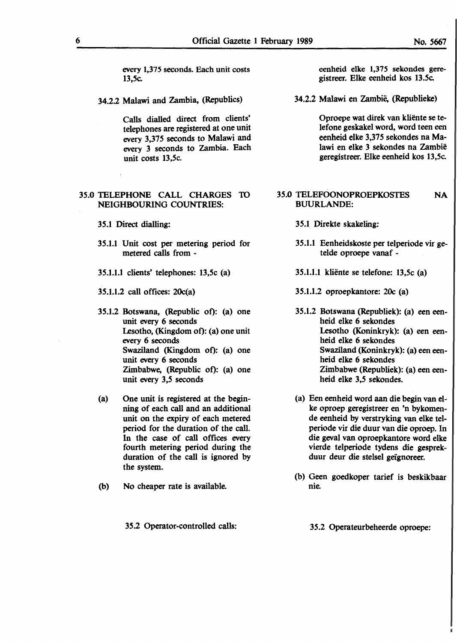every 1,375 seconds. Each unit costs 13,5c.

34.2.2 Malawi and Zambia, (Republics)

Calls dialled direct from clients' telephones are registered at one unit every 3,375 seconds to Malawi and every 3 seconds to Zambia. Each unit costs 13,5c.

#### 35.0 TELEPHONE CALL CHARGES 10 NEIGHBOURING COUNTRIES:

- 35.1 Direct dialling:
- 35.1.1 Unit cost per metering period for metered calls from -
- 35.1.1.1 clients' telephones: 13,5c (a)
- 35.1.1.2 call offices: 20c(a)
- 35.1.2 Botswana, (Republic ot): (a) one unit every 6 seconds Lesotho, (Kingdom of): (a) one unit every 6 seconds Swaziland (Kingdom of): (a) one unit every 6 seconds Zimbabwe, (Republic of): (a) one unit every 3,5 seconds
- (a) One unit is registered at the beginning of each call and an additional unit on the expiry of each metered period for the duration of the call. In the case of call offices every fourth metering period during the duration of the call is ignored by the system.
- (b) No cheaper rate is available.

35.2 Operator-controlled calls:

eenheid elke 1,375 sekondes geregistreer. Elke eenheid kos 13.5c.

34.2.2 Malawi en Zambië, (Republieke)

Oproepe wat direk van kliente se telefone geskakel word, word teen een eenheid elke 3,375 sekondes na Malawi en elke 3 sekondes na Zambie geregistreer. Elke eenheid kos 13,5c.

#### **35.0** TELEFOONOPROEPKOSTES BUURLANDE: **NA**

- 35.1 Direkte skakeling:
- 35.1.1 Eenheidskoste per telperiode vir getelde oproepe vanaf -
- 35.1.1.1 kliente se telefone: 13,5c (a)
- 35.1.1.2 oproepkantore: 20c **(a)**
- 35.1.2 Botswana (Republiek): (a) een eenheid elke 6 sekondes Lesotho (Koninkryk): (a) een eenheid elke 6 sekondes Swaziland (Koninkryk): (a) een eenheid elke 6 sekondes Zimbabwe (Republiek): (a) een eenheid elke 3,5 sekondes.
- (a) Een eenheid word aan die begin van elke oproep geregistreer en 'n bykomende eenheid by verstryking van elke telperiode vir die duur van die oproep. In die geval van oproepkantore word elke vierde telperiode tydens die gesprekduur deur die stelsel geignoreer.
- (b) Geen goedkoper tarief is beskikbaar nie.

35.2 Operateurbeheerde oproepe: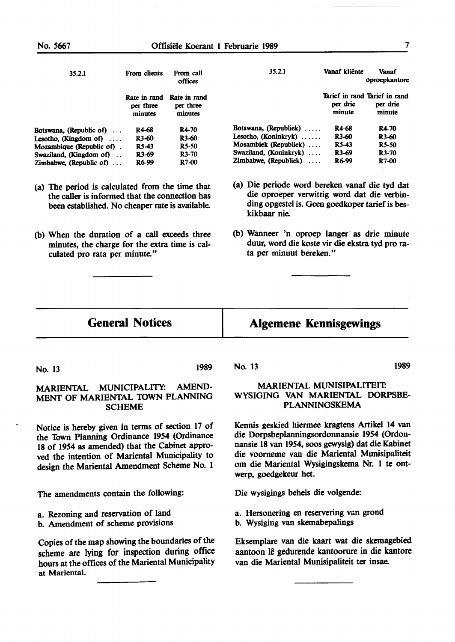| 35.2.1                          | From clients                         | From call<br>offices                 |
|---------------------------------|--------------------------------------|--------------------------------------|
|                                 | Rate in rand<br>per three<br>minutes | Rate in rand<br>per three<br>minutes |
| Botswana, (Republic of) $\dots$ | R4-68                                | R4-70                                |
| Lesotho, (Kingdom of) $\dots$   | R <sub>3</sub> -60                   | R <sub>3</sub> -60                   |
| Mozambique (Republic of).       | RS-43                                | <b>R5-50</b>                         |
| Swaziland, (Kingdom of)         | R <sub>3</sub> -69                   | R <sub>3</sub> -70                   |
| Zimbabwe, (Republic of) $\dots$ | R6-99                                | R7-00                                |

- (a) The period is calculated from the time that the caller is informed that the connection has been established. No cheaper rate is available.
- (b) When the duration of a call exceeds three minutes, the charge for the extra time is calculated pro rata per minute."

| 35.2.1                 | Vanaf kliënte      | Vanaf<br>oproepkantore                              |
|------------------------|--------------------|-----------------------------------------------------|
|                        | per drie<br>minute | Tarief in rand Tarief in rand<br>per drie<br>minute |
| Botswana, (Republiek)  | R4-68              | R4-70                                               |
| Lesotho, (Koninkryk)   | R <sub>3</sub> -60 | R3-60                                               |
| Mosambiek (Republiek)  | RS-43              | <b>RS-50</b>                                        |
| Swaziland, (Koninkryk) | R3-69              | R3-70                                               |
| Zimbabwe, (Republiek)  | R6-99              | R7-00                                               |

- (a) Die periode word bereken vanaf die tyd dat die oproeper verwittig word dat die verbinding opgestel is. Geen goedkoper tarief is bes**kikbaar** nie.
- (b) Wanneer 'n oproep langer· as drie minute duur, word die koste vir die ekstra tyd pro rata per minuut bereken."

### **General Notices**

### **Algemene Kennisgewings**

No. 13 1989

#### **MARIENTAL** MUNICIPALITY: AMEND-MENT OF MARIENTAL TOWN PLANNING **SCHEME**

Notice is hereby given in terms of section 17 of the Town Planning Ordinance 1954 (Ordinance 18 of 1954 as amended) that the Cabinet approved the intention of Mariental Municipality to design the Mariental Amendment Scheme No. 1

The amendments contain the following:

- a. Rezoning and **reservation** of land
- b. Amendment of scheme provisions

Copies of the map showing the boundaries of the scheme are lying for inspection during office hours at the offices of the Mariental Municipality at Mariental.

No. 13 1989

#### MARIENTAL MUNISIPALITEIT. **WYSIGING** VAN **MARIENTAL** DORPSBE-PLANNINGSKEMA

Kennis geskied hiermee kragtens Artikel 14 van die Dorpsbeplanningsordonnansie 1954 (Ordonnansie 18 van 1954, soos gewysig) dat die Kabinet die voorneme van die Mariental Munisipaliteit om die Mariental Wysigingskema Nr. 1 te ontwerp, goedgekeur bet.

Die wysigings behels die volgende:

- a. Hersonering en reservering van grond
- b. Wysiging van skemabepalings

Eksemplare van die kaart wat die skemagebied aantoon le gedurende kantoorure in die kantore van die Mariental Munisipaliteit ter insae.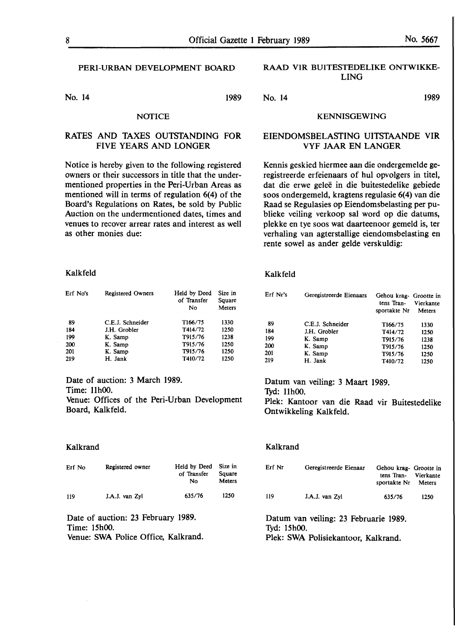No. 14 1989

#### **NOTICE**

#### **RATES** AND TAXES OUTSTANDING FOR FIVE YEARS AND LONGER

Notice is hereby given to the following registered owners or their successors in title that the undermentioned properties in the Peri-Urban Areas as mentioned will in terms of regulation 6(4) of the Board's Regulations on Rates, be sold by Public Auction on the undermentioned dates, times and **venues** to recover arrear **rates and** interest as **well as other** monies due:

#### RAAD VIR BUITESTEDELIKE ONTWIKKE-LING

No. 14 1989

#### KENNISGEWING

#### EIENDOMSBELASTING UITSTAANDE VIR VYF JAAR EN LANGER

Kennis geskied hiermee aan die ondergemelde geregistreerde erfeienaars of hul opvolgers in titel, dat die erwe geleë in die buitestedelike gebiede soos ondergemeld, kragtens regulasie 6(4) van die Raad se Regulasies op Eiendomsbelasting per publieke veiling verkoop sal word op die datums, plekke en tye soos wat daarteenoor gemeld is, ter verhaling van agterstallige eiendomsbelasting en rente sowel as ander gelde verskuldig:

#### **Kalkfeld**

| tens Tran-<br>sportakte Nr | Vierkante<br>Meters    |
|----------------------------|------------------------|
| T166/75                    | 1330                   |
| T414/72                    | 1250                   |
| T915/76                    | 1238                   |
| T915/76                    | 1250                   |
| T915/76                    | 1250                   |
| T410/72                    | 1250                   |
|                            | Gehou krag- Grootte in |

Datum van veiling: 3 Maart 1989. 1yd: 11h00. Piek: Kantoor van die Raad vir Buitestedelike Ontwikkeling Kalkfeld.

#### Kalkrand

| Erf Nr | Geregistreerde Eienaar | Gehou krag- Grootte in<br>tens Tran- Vierkante<br>sportakte Nr | Meters |
|--------|------------------------|----------------------------------------------------------------|--------|
| 119    | J.A.J. van Zyl         | 635/76                                                         | 1250   |

Datum van veiling: 23 Februarie 1989. Tyd: 15h00. Piek: SWA Polisiekantoor, Kalkrand.

#### **Kalkfeld**

| Erf No's | <b>Registered Owners</b> | Held by Deed<br>of Transfer | Size in<br>Square |
|----------|--------------------------|-----------------------------|-------------------|
|          |                          | No                          | Meters            |
| 89       | C.E.J. Schneider         | T166/75                     | 1330              |
| 184      | J.H. Grobler             | T414/72                     | 1250              |
| 199      | K. Samp                  | T915/76                     | 1238              |
| 200      | K. Samp                  | T915/76                     | 1250              |
| 201      | K. Samp                  | T915/76                     | 1250              |
| 219      | H. Jank                  | T410/72                     | 1250              |

**Date of** auction: 3 **March 1989. Time:** 11h00. **Venue:** Offices of the **Peri-Urban** Development **Board,** Kalkfeld.

#### Kalkrand

| Erf No | Registered owner | Held by Deed Size in<br>of Transfer<br>N٥ | Square<br>Meters |
|--------|------------------|-------------------------------------------|------------------|
| 119    | J.A.J. van Zyl   | 635/76                                    | 1250             |

Date of auction: 23 February 1989. Time: 15h00. Venue: SWA Police Office, Kalkrand.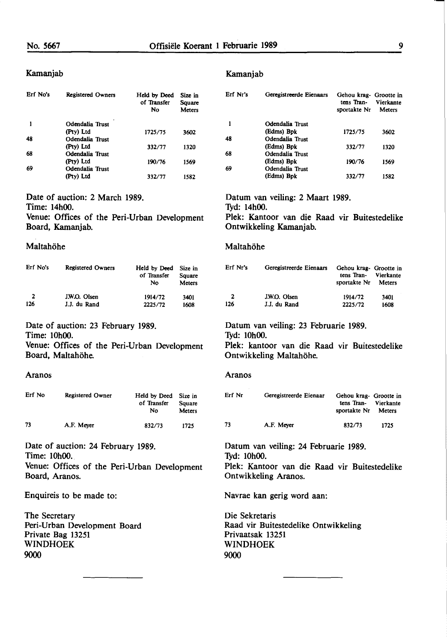#### Kamanjab

| Erf No's | <b>Registered Owners</b> | Held by Deed<br>of Transfer<br>No | Size in<br>Square<br><b>Meters</b> |
|----------|--------------------------|-----------------------------------|------------------------------------|
|          | Odendalia Trust          |                                   |                                    |
|          | (Pty) Ltd                | 1725/75                           | 3602                               |
| 48       | Odendalia Trust          |                                   |                                    |
|          | (Pty) Ltd                | 332/77                            | 1320                               |
| 68       | Odendalia Trust          |                                   |                                    |
|          | (Pty) Ltd                | 190/76                            | 1569                               |
| 69       | Odendalia Trust          |                                   |                                    |
|          | (Pty) Ltd                | 332/77                            | 1582                               |

Date of auction: 2 March **1989.**  Time: 14h00. Venue: Offices of the Peri-Urban Development Board, Kamanjab.

#### Maltahöhe

| Erf No's | <b>Registered Owners</b> | Held by Deed<br>of Transfer<br>Nο | Size in<br>Square<br><b>Meters</b> |
|----------|--------------------------|-----------------------------------|------------------------------------|
| 2        | J.W.O. Olsen             | 1914/72                           | 3401                               |
| 126      | J.J. du Rand             | 2225/72                           | 1608                               |

Date of auction: 23 February **1989.** 

Time: 10h00.

Venue: Offices of the Peri-Urban Development Board, Maltahöhe.

#### Aranos

| Erf No | <b>Registered Owner</b> | Held by Deed<br>of Transfer<br>N٥ | Size in<br>Square<br><b>Meters</b> |
|--------|-------------------------|-----------------------------------|------------------------------------|
| 73     | A.F. Mever              | 832/73                            | 1725                               |

Date of auction: 24 February 1989. Time: 10h00. Venue: Offices of the Peri-Urban Development Board, Aranos.

Enquireis to be made to:

The Secretary Peri-Urban Development Board Private Bag 13251 WINDHOEK 9000

#### Kamanjab

| Erf Nr's | Geregistreerde Eienaars | Gehou krag- Grootte in<br>tens Tran-<br>sportakte Nr | Vierkante<br>Meters |
|----------|-------------------------|------------------------------------------------------|---------------------|
|          | Odendalia Trust         |                                                      |                     |
|          | (Edms) Bpk              | 1725/75                                              | 3602                |
| 48       | Odendalia Trust         |                                                      |                     |
|          | (Edms) Bpk              | 332/77                                               | 1320                |
| 68       | Odendalia Trust         |                                                      |                     |
|          | (Edms) Bpk              | 190/76                                               | 1569                |
| 69       | Odendalia Trust         |                                                      |                     |
|          | (Edms) Bpk              | 332/77                                               | 1582                |

Datum van veiling: 2 Maart 1989. 1yd: 14h00.

Piek: Kantoor van die Raad vir Buitestedelike Ontwikkeling Kamanjab.

#### Maltahöhe

| Erf Nr's     | Geregistreerde Eienaars | Gehou krag- Grootte in<br>tens Tran- Vierkante<br>sportakte Nr Meters |      |
|--------------|-------------------------|-----------------------------------------------------------------------|------|
| $\mathbf{2}$ | J.W.O. Olsen            | 1914/72                                                               | 3401 |
| 126          | J.J. du Rand            | 2225/72                                                               | 1608 |

## Datum van veiling: 23 Februarie 1989.

1yd: 10h00.

Piek: kantoor van die Raad vir Buitestedelike Ontwikkeling Maltahöhe.

#### Aranos

| Erf Nr | Geregistreerde Eienaar | Gehou krag- Grootte in<br>tens Tran- Vierkante<br>sportakte Nr | Meters |  |
|--------|------------------------|----------------------------------------------------------------|--------|--|
| 73     | A.F. Meyer             | 832/73                                                         | 1725   |  |

Datum van veiling: 24 Februarie 1989. 1yd: 10h00. Piek: Kantoor van die Raad vir Buitestedelike Ontwikkeling Aranos.

Navrae kan gerig word aan:

Die Sekretaris Raad vir Buitestedelike Ontwikkeling Privaatsak 13251 WINDHOEK 9000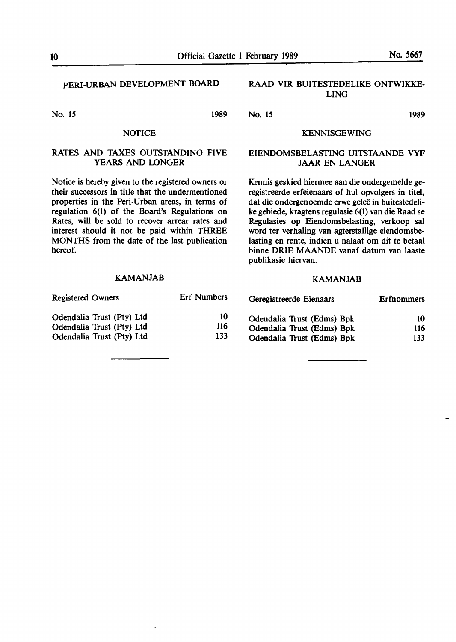### PERI-URBAN DEVELOPMENT BOARD

No. 15 1989

#### **NOTICE**

#### RATES AND TAXES OUTSTANDING FIVE YEARS AND LONGER

Notice is hereby given to the registered owners or their successors in title that the undermentioned properties in the Peri-Urban areas, in terms of regulation 6(1) of the Board's Regulations on Rates, will be sold to recover arrear rates and interest should it not be paid within THREE MONTHS from the date of the last publication hereof.

#### KAMANJAB

| <b>Registered Owners</b>  | <b>Erf</b> Numbers |  |
|---------------------------|--------------------|--|
| Odendalia Trust (Pty) Ltd | 10                 |  |
| Odendalia Trust (Pty) Ltd | 116                |  |
| Odendalia Trust (Pty) Ltd | 133                |  |

#### **RAAD VIR** BUITESTEDELIKE **ONTWIKKE-**LING

#### KENNISGEWING

#### EIENDOMSBELASTING UITSTAANDE VYF JAAR EN LANGER

Kennis geskied hiermee aan die ondergemelde geregistreerde erfeienaars of hul opvolgers in titel, dat die ondergenoemde erwe gelee in buitestedelike gebiede, kragtens regulasie 6(1) van die Raad se Regulasies op Eiendomsbelasting, verkoop sal word ter verhaling van agterstallige eiendomsbelasting en rente, indien u nalaat om dit te betaal binne ORIE MAANDE vanaf datum van laaste publikasie hiervan.

#### KAMANJAB

| ed Owners           | Erf Numbers | Geregistreerde Eienaars    | <b>Erfnommers</b> |
|---------------------|-------------|----------------------------|-------------------|
| ia Trust (Pty) Ltd  | 10          | Odendalia Trust (Edms) Bpk | 10                |
| ia Trust (Pty) Ltd  | 116         | Odendalia Trust (Edms) Bpk | 116               |
| lia Trust (Pty) Ltd | 133         | Odendalia Trust (Edms) Bpk | 133               |

No. 15 1989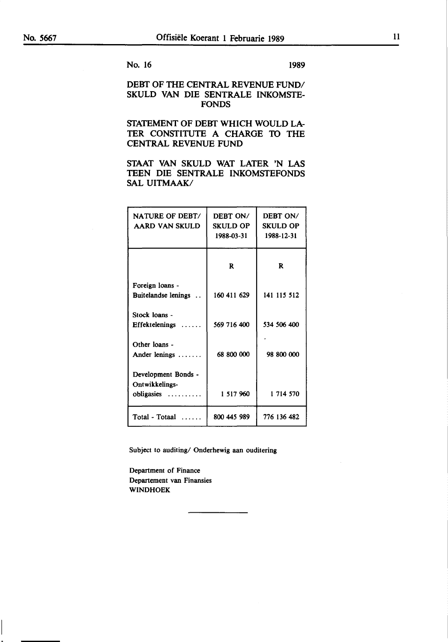#### No. 16 1989

#### DEBT OF THE CENTRAL REVENUE FUND/ SKULD VAN DIE SENTRALE INKOMSTE-FONDS

### SfATEMENT OF DEBT WHICH WOULD LA-TER CONSTITUTE A CHARGE TO THE CENTRAL REVENUE FUND

#### STAAT VAN SKULD WAT LATER 'N LAS TEEN DIE. SENTRALE INKOMSTEFONDS SAL UITMAAK/

| NATURE OF DEBT/<br>AARD VAN SKULD                        | DEBT ON/<br><b>SKULD OP</b><br>1988-03-31 | DEBT ON/<br><b>SKULD OP</b><br>1988-12-31 |
|----------------------------------------------------------|-------------------------------------------|-------------------------------------------|
|                                                          | R                                         | R                                         |
| Foreign loans -<br>Buitelandse lenings                   | 160 411 629                               | 141 115 512                               |
| Stock loans -<br><b>Effektelenings</b>                   | 569 716 400                               | 534 506 400                               |
| Other loans -<br>Ander lenings $\dots\dots$              | 68 800 000                                | 98 800 000                                |
| Development Bonds -<br>Ontwikkelings-<br>obligasies<br>. | 1 517 960                                 | 1 714 570                                 |
| Total - Totaal                                           | 800 445 989                               | 776 136 482                               |

Subject to auditing/ Onderhewig aan ouditering

Department of Finance Departement van Finansies WINDHOEK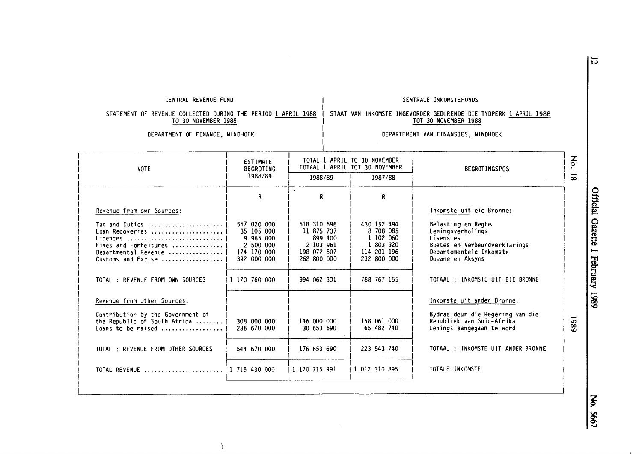| CENTRAL REVENUE FUND<br>SENTRALE INKOMSTEFONDS                                                                                                                                                                                   |                                                                                                    |
|----------------------------------------------------------------------------------------------------------------------------------------------------------------------------------------------------------------------------------|----------------------------------------------------------------------------------------------------|
| STATEMENT OF REVENUE COLLECTED DURING THE PERIOD 1 APRIL 1988<br>STAAT VAN INKOMSTE INGEVORDER GEDURENDE DIE TYDPERK 1 APRIL 1988<br>TO 30 NOVEMBER 1988<br>TOT 30 NOVEMBER 1988                                                 |                                                                                                    |
| DEPARTMENT OF FINANCE, WINDHOEK<br>DEPARTEMENT VAN FINANSIES, WINDHOEK                                                                                                                                                           |                                                                                                    |
| TOTAL 1 APRIL TO 30 NOVEMBER<br><b>ESTIMATE</b><br>TOTAAL 1 APRIL TOT 30 NOVEMBER<br><b>BEGROTING</b>                                                                                                                            | $\sum_{\mathbf{O}}$<br><b>BEGROTINGSPOS</b>                                                        |
| 1988/89<br>1988/89<br>1987/88                                                                                                                                                                                                    | $\overline{8}$                                                                                     |
| $\mathcal{L}_{\mathcal{A}}$<br>R<br>R<br>R                                                                                                                                                                                       |                                                                                                    |
|                                                                                                                                                                                                                                  | Inkomste uit eie Bronne:                                                                           |
| 557 020 000<br>Tax and Duties<br>518 310 696<br>430 152 494<br>Belasting en Regte<br>Loan Recoveries<br>11 875 737<br>8 708 085<br>Leningsverhalings<br>35 105 000<br>899 400<br>1 102 060<br>Lisensies<br>Licences<br>9 965 000 |                                                                                                    |
| Fines and Forfeitures<br>1 803 320<br>2 500 000<br>2 103 961<br>198 072 507<br>114 201 196<br>Departmental Revenue   <br>174 170 000<br>Customs and Excise<br>392 000 000<br>262 800 000<br>232 800 000<br>Doeane en Aksyns      | Boetes en Verbeurdverklarings<br>Departementele Inkomste                                           |
| 788 767 155<br>TOTAL : REVENUE FROM OWN SOURCES<br>1 170 760 000<br>994 062 301                                                                                                                                                  | TOTAAL : INKOMSTE UIT EIE BRONNE                                                                   |
| Revenue from other Sources:                                                                                                                                                                                                      | Inkomste uit ander Bronne:                                                                         |
| Contribution by the Government of<br>the Republic of South Africa<br>146 000 000<br>158 061 000<br>308 000 000<br>236 670 000<br>30 653 690<br>65 482 740                                                                        | Bydrae deur die Regering van die<br>6861<br>Republiek van Suid-Afrika<br>Lenings aangegaan te word |
| 223 543 740<br>TOTAL : REVENUE FROM OTHER SOURCES<br>544 670 000<br>176 653 690                                                                                                                                                  | TOTAAL : INKOMSTE UIT ANDER BRONNE                                                                 |
| 1 012 310 895<br>TOTALE INKOMSTE<br>1 170 715 991                                                                                                                                                                                |                                                                                                    |

i

I  $\mathbf{\Omega}$ Ecial  $\bf \Xi^$ te 1 Februa  $-0.861$  An  $|$   $\degree$ 

~

 $\ddot{ }$ 

 $\overline{5}$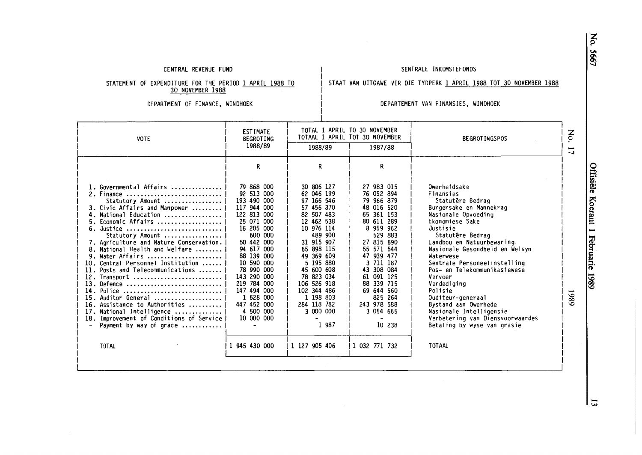#### CENTRAL REVENUE FUND

#### SENTRALE INKOMSTEFONDS

STAAT VAN UITGAWE VIR DIE TYDPERK 1 APRIL 1988 TOT 30 NOVEMBER 1988

STATEMENT OF EXPENDITURE FOR THE PERIOD <u>1 APRIL 1988 TO</u> 30 NOVEMBER 1988

DEPARTMENT OF FINANCE, WINDHOEK

#### DEPARTEMENT VAN FINANSIES, WINDHOEK

| <b>VOTE</b>                                                                                                                                                                                                                                                                                                                                                                                                                                                                                                                                                                                                  | <b>ESTIMATE</b><br><b>BEGROTING</b>                                                                                                                                                                                                                                                                     |                                                                                                                                                                                                                                                                                               | TOTAL 1 APRIL TO 30 NOVEMBER<br>TOTAAL 1 APRIL TOT 30 NOVEMBER                                                                                                                                                                                                                            | <b>BEGROTINGSPOS</b>                                                                                                                                                                                                                                                                                                                                                                                                                                                                     | No.                           |
|--------------------------------------------------------------------------------------------------------------------------------------------------------------------------------------------------------------------------------------------------------------------------------------------------------------------------------------------------------------------------------------------------------------------------------------------------------------------------------------------------------------------------------------------------------------------------------------------------------------|---------------------------------------------------------------------------------------------------------------------------------------------------------------------------------------------------------------------------------------------------------------------------------------------------------|-----------------------------------------------------------------------------------------------------------------------------------------------------------------------------------------------------------------------------------------------------------------------------------------------|-------------------------------------------------------------------------------------------------------------------------------------------------------------------------------------------------------------------------------------------------------------------------------------------|------------------------------------------------------------------------------------------------------------------------------------------------------------------------------------------------------------------------------------------------------------------------------------------------------------------------------------------------------------------------------------------------------------------------------------------------------------------------------------------|-------------------------------|
|                                                                                                                                                                                                                                                                                                                                                                                                                                                                                                                                                                                                              | 1988/89                                                                                                                                                                                                                                                                                                 | 1988/89                                                                                                                                                                                                                                                                                       | 1987/88                                                                                                                                                                                                                                                                                   |                                                                                                                                                                                                                                                                                                                                                                                                                                                                                          | Į<br>$\overline{\phantom{0}}$ |
|                                                                                                                                                                                                                                                                                                                                                                                                                                                                                                                                                                                                              | R                                                                                                                                                                                                                                                                                                       | R                                                                                                                                                                                                                                                                                             | R.                                                                                                                                                                                                                                                                                        |                                                                                                                                                                                                                                                                                                                                                                                                                                                                                          |                               |
| 1. Governmental Affairs<br>2. Finance<br>Statutory Amount<br>3. Civic Affairs and Manpower<br>4. National Education<br>5. Economic Affairs<br>6. Justice<br>Statutory Amount<br>7. Agriculture and Nature Conservation.<br>8. National Health and Welfare<br>9. Water Affairs<br>10. Central Personnel Institution<br>11. Posts and Telecommunications<br>12. Transport<br>13. Defence<br>14. Police<br>15. Auditor General<br>16. Assistance to Authorities<br>17. National Intelligence<br>18. Improvement of Conditions of Service<br>Payment by way of grace<br>$\overline{\phantom{0}}$<br><b>TOTAL</b> | 79 868 000<br>92 513 000<br>193 490 000<br>117 944 000<br>122 813 000<br>25 071 000<br>16 205 000<br>600 000<br>50 442 000<br>94 617 000<br>88 139 000<br>10 590 000<br>78 990 000<br>143 290 000<br>219 784 000<br>147 494 000<br>1 628 000<br>447 452 000<br>4 500 000<br>10 000 000<br>1 945 430 000 | 30 806 127<br>62 046 199<br>97 166 546<br>57 456 370<br>82 507 483<br>12 462 538<br>10 976 114<br>489 900<br>31 915 907<br>65 898 115<br>49 369 609<br>5 195 880<br>45 600 608<br>78 823 034<br>106 526 918<br>102 344 486<br>1 198 803<br>284 118 782<br>3 000 000<br>1 987<br>1 127 905 406 | 27 983 015<br>76 052 894<br>79 966 879<br>48 016 520<br>65 361 153<br>80 611 289<br>8 959 962<br>529 883<br>27 815 690<br>55 571 544<br>47 939 477<br>3 711 187<br>43 308 084<br>61 091 125<br>88 339 715<br>69 644 560<br>825 264<br>243 978 588<br>3 054 665<br>10 238<br>1 032 771 732 | Owerheidsake<br>Finansies<br>Statutêre Bedraq<br>Burgersake en Mannekrag<br>Nasionale Opvoeding<br>Ekonomiese Sake<br>Justisie<br>Statutêre Bedrag<br>Landbou en Natuurbewaring<br>Nasionale Gesondheid en Welsyn<br>Waterwese<br>Sentrale Personeelinstelling<br>Pos- en Telekommunikasiewese<br>Vervoer<br>Verdediging<br>Polisie<br>Ouditeur-generaal<br>Bystand aan Owerhede<br>Nasionale Intelligensie<br>Verbetering van Diensvoorwaardes<br>Betaling by wyse van grasie<br>TOTAAL | 6861                          |

z p **VI**   $\mathcal{L}$ 

> **risiële** 1 **(1)**  ~ ant 1 H <sup>~</sup>er .., **C:**  .... ~ **(1)**  - **1.0 00**  -**1.0**

I

<u>ୁ</u>